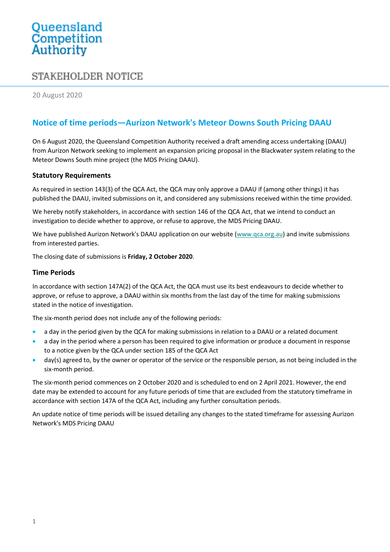# Queensland<br>Competition Authority

# STAKEHOLDER NOTICE

20 August 2020

## **Notice of time periods—Aurizon Network's Meteor Downs South Pricing DAAU**

On 6 August 2020, the Queensland Competition Authority received a draft amending access undertaking (DAAU) from Aurizon Network seeking to implement an expansion pricing proposal in the Blackwater system relating to the Meteor Downs South mine project (the MDS Pricing DAAU).

#### **Statutory Requirements**

As required in section 143(3) of the QCA Act, the QCA may only approve a DAAU if (among other things) it has published the DAAU, invited submissions on it, and considered any submissions received within the time provided.

We hereby notify stakeholders, in accordance with section 146 of the QCA Act, that we intend to conduct an investigation to decide whether to approve, or refuse to approve, the MDS Pricing DAAU.

We have published Aurizon Network's DAAU application on our website [\(www.qca.org.au\)](http://www.qca.org.au/) and invite submissions from interested parties.

The closing date of submissions is **Friday, 2 October 2020**.

#### **Time Periods**

In accordance with section 147A(2) of the QCA Act, the QCA must use its best endeavours to decide whether to approve, or refuse to approve, a DAAU within six months from the last day of the time for making submissions stated in the notice of investigation.

The six-month period does not include any of the following periods:

- a day in the period given by the QCA for making submissions in relation to a DAAU or a related document
- a day in the period where a person has been required to give information or produce a document in response to a notice given by the QCA under section 185 of the QCA Act
- day(s) agreed to, by the owner or operator of the service or the responsible person, as not being included in the six-month period.

The six-month period commences on 2 October 2020 and is scheduled to end on 2 April 2021. However, the end date may be extended to account for any future periods of time that are excluded from the statutory timeframe in accordance with section 147A of the QCA Act, including any further consultation periods.

An update notice of time periods will be issued detailing any changes to the stated timeframe for assessing Aurizon Network's MDS Pricing DAAU